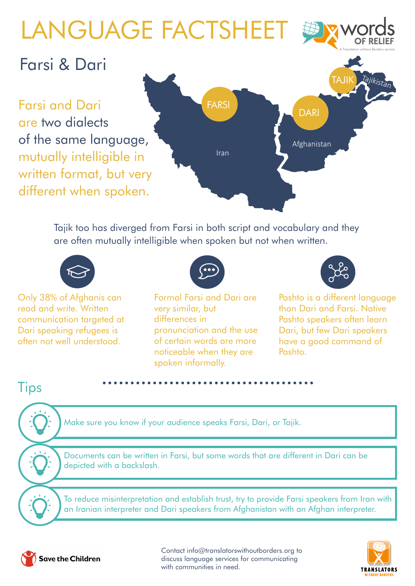# LANGUAGE FACTSHEET



#### Farsi & Dari

Farsi and Dari are two dialects of the same language, mutually intelligible in written format, but very different when spoken.



Tajik too has diverged from Farsi in both script and vocabulary and they are often mutually intelligible when spoken but not when written.



Only 38% of Afghanis can read and write. Written communication targeted at Dari speaking refugees is often not well understood.



Formal Farsi and Dari are very similar, but differences in pronunciation and the use of certain words are more noticeable when they are spoken informally.



Pashto is a different language than Dari and Farsi. Native Pashto speakers often learn Dari, but few Dari speakers have a good command of Pashto.

#### **Tips**

Make sure you know if your audience speaks Farsi, Dari, or Tajik.

Documents can be written in Farsi, but some words that are different in Dari can be depicted with a backslash.

To reduce misinterpretation and establish trust, try to provide Farsi speakers from Iran with an Iranian interpreter and Dari speakers from Afghanistan with an Afghan interpreter.